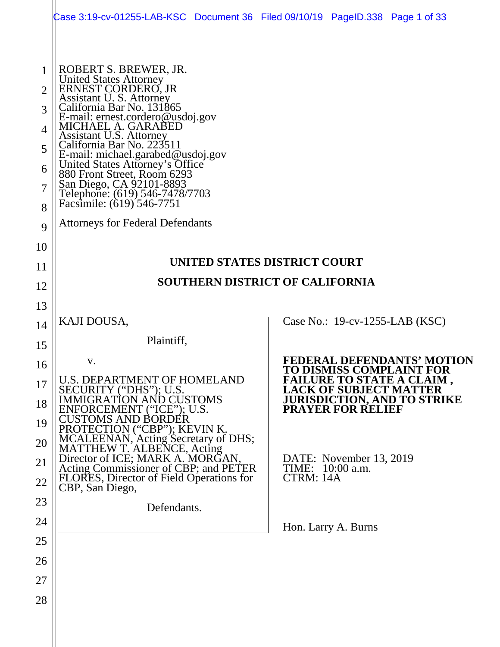|                                                 | Case 3:19-cv-01255-LAB-KSC Document 36 Filed 09/10/19 PageID.338 Page 1 of 33                                                                                                                                                                    |                                        |                               |                                                              |
|-------------------------------------------------|--------------------------------------------------------------------------------------------------------------------------------------------------------------------------------------------------------------------------------------------------|----------------------------------------|-------------------------------|--------------------------------------------------------------|
| 1<br>$\overline{2}$<br>3<br>$\overline{4}$<br>5 | ROBERT S. BREWER, JR.<br>United States Attorney<br>ERNEST CORDERO, JR<br>Assistant U. S. Attorney<br>California Bar No. 131865<br>E-mail: ernest.cordero@usdoj.gov<br>MICHAEL A. GARABED<br>Assistant U.S. Attorney<br>California Bar No. 223511 |                                        |                               |                                                              |
| 6<br>7<br>8                                     | E-mail: michael.garabed@usdoj.gov<br>United States Attorney's Office<br>880 Front Street, Room 6293<br>San Diego, CA 92101-8893<br>Telephone: (619) 546-7478/7703<br>Facsimile: (619) 546-7751                                                   |                                        |                               |                                                              |
| 9                                               | <b>Attorneys for Federal Defendants</b>                                                                                                                                                                                                          |                                        |                               |                                                              |
| 10                                              |                                                                                                                                                                                                                                                  | UNITED STATES DISTRICT COURT           |                               |                                                              |
| 11                                              |                                                                                                                                                                                                                                                  | <b>SOUTHERN DISTRICT OF CALIFORNIA</b> |                               |                                                              |
| 12                                              |                                                                                                                                                                                                                                                  |                                        |                               |                                                              |
| 13                                              | KAJI DOUSA,                                                                                                                                                                                                                                      |                                        |                               | Case No.: $19$ -cv-1255-LAB (KSC)                            |
| 14                                              | Plaintiff,                                                                                                                                                                                                                                       |                                        |                               |                                                              |
| 15                                              | V.                                                                                                                                                                                                                                               |                                        |                               | <b>FEDERAL DEFENDANTS' MOTION</b>                            |
| 16<br>17                                        | <b>U.S. DEPARTMENT OF HOMELAND</b>                                                                                                                                                                                                               |                                        |                               | TO DISMISS COMPLAINT FOR<br><b>FAILURE TO STATE A CLAIM,</b> |
| 18                                              | SECURITY ("DHS"); U.S.<br><b>IMMIGRATION AND CUSTOMS</b>                                                                                                                                                                                         |                                        | <b>LACK OF SUBJECT MATTER</b> | <b>JURISDICTION, AND TO STRIKE</b>                           |
| 19                                              | ENFORCEMENT ("ICE"); U.S.<br><b>CUSTOMS AND BORDÉR</b>                                                                                                                                                                                           |                                        | <b>PRAYER FOR RELIEF</b>      |                                                              |
| 20                                              | PROTECTION ("CBP"); KEVIN K.<br>MCALEENAN, Acting Secretary of DHS;<br>MATTHEW T. ALBENCE, Acting                                                                                                                                                |                                        |                               |                                                              |
| 21                                              | Director of ICE; MARK A. MORGAN,                                                                                                                                                                                                                 |                                        | DATE: November 13, 2019       |                                                              |
| 22                                              | Acting Commissioner of CBP; and PETER<br>FLORES, Director of Field Operations for                                                                                                                                                                | TIME:<br>CTRM: 14A                     | $10:00$ a.m.                  |                                                              |
| 23                                              | CBP, San Diego,<br>Defendants.                                                                                                                                                                                                                   |                                        |                               |                                                              |
| 24                                              |                                                                                                                                                                                                                                                  |                                        | Hon. Larry A. Burns           |                                                              |
| 25                                              |                                                                                                                                                                                                                                                  |                                        |                               |                                                              |
| 26                                              |                                                                                                                                                                                                                                                  |                                        |                               |                                                              |
| 27                                              |                                                                                                                                                                                                                                                  |                                        |                               |                                                              |
| 28                                              |                                                                                                                                                                                                                                                  |                                        |                               |                                                              |
|                                                 |                                                                                                                                                                                                                                                  |                                        |                               |                                                              |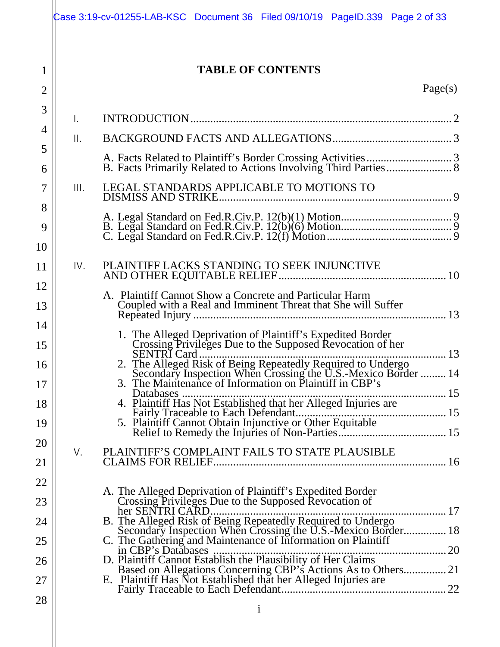|                                | Case 3:19-cv-01255-LAB-KSC Document 36 Filed 09/10/19 PageID.339 Page 2 of 33                                                                                                                                                                                                                                                                                                                         |
|--------------------------------|-------------------------------------------------------------------------------------------------------------------------------------------------------------------------------------------------------------------------------------------------------------------------------------------------------------------------------------------------------------------------------------------------------|
| $\mathbf{1}$<br>$\overline{2}$ | <b>TABLE OF CONTENTS</b><br>Page(s)                                                                                                                                                                                                                                                                                                                                                                   |
| 3<br>4<br>5<br>6               | Ι.<br>$\mathsf{II}$ .                                                                                                                                                                                                                                                                                                                                                                                 |
| 7<br>8<br>9<br>10              | LEGAL STANDARDS APPLICABLE TO MOTIONS TO<br>III.                                                                                                                                                                                                                                                                                                                                                      |
| 11<br>12<br>13<br>14           | PLAINTIFF LACKS STANDING TO SEEK INJUNCTIVE<br>IV.<br>A. Plaintiff Cannot Show a Concrete and Particular Harm<br>Coupled with a Real and Imminent Threat that She will Suffer                                                                                                                                                                                                                         |
| 15<br>16<br>17<br>18<br>19     | 1. The Alleged Deprivation of Plaintiff's Expedited Border<br>Crossing Privileges Due to the Supposed Revocation of her<br>SENTRI Card<br>2. The Alleged Risk of Being Repeatedly Required to Undergo<br>5 Secondary Inspection When Crossing the U.S.-Mexico Border  14<br>3. The Maintenance of Information on Plaintiff in CBP's<br>4. Plaintiff Has Not Established that her Alleged Injuries are |
| 20<br>21<br>22                 | PLAINTIFF'S COMPLAINT FAILS TO STATE PLAUSIBLE<br>V.                                                                                                                                                                                                                                                                                                                                                  |
| 23<br>24<br>25                 | A. The Alleged Deprivation of Plaintiff's Expedited Border<br>Crossing Privileges Due to the Supposed Revocation of<br>her SENTRI CARD.<br>B. The Alleged Risk of Being Repeatedly Required to Undergo<br>Secondary Inspection When Crossing the U.S.-Mexico Border 18<br>C. The Gathering and Maintenance of Information on Plaintiff                                                                |
| 26<br>27<br>28                 | D. Plaintiff Cannot Establish the Plausibility of Her Claims<br>Based on Allegations Concerning CBP's Actions As to Others 21<br>E. Plaintiff Has Not Established that her Alleged Injuries are                                                                                                                                                                                                       |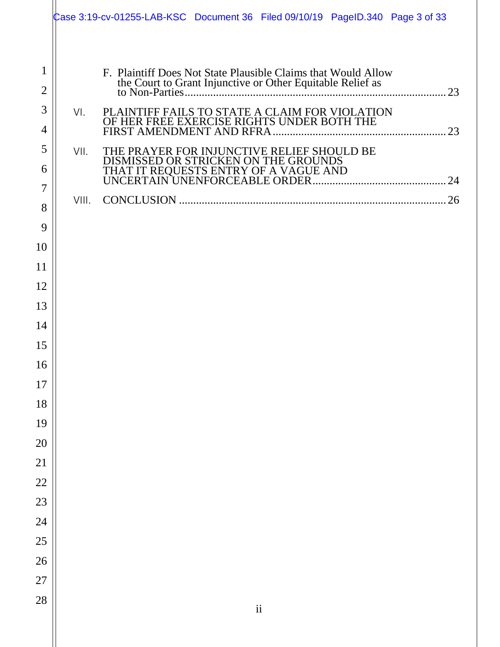|                                     |       | Case 3:19-cv-01255-LAB-KSC Document 36 Filed 09/10/19 PageID.340 Page 3 of 33                |                          |  |  |
|-------------------------------------|-------|----------------------------------------------------------------------------------------------|--------------------------|--|--|
| $\mathbf{1}$<br>$\overline{2}$<br>3 | VI.   | F. Plaintiff Does Not State Plausible Claims that Would Allow                                |                          |  |  |
| 4                                   |       | PLAINTIFF FAILS TO STATE A CLAIM FOR VIOLATION<br>OF HER FREE EXERCISE RIGHTS UNDER BOTH THE |                          |  |  |
| 5<br>6<br>7                         | VII.  | THE PRAYER FOR INJUNCTIVE RELIEF SHOULD BE<br>DISMISSED OR STRICKEN ON THE GROUNDS           |                          |  |  |
| 8<br>9                              | VIII. |                                                                                              |                          |  |  |
| 10                                  |       |                                                                                              |                          |  |  |
| 11                                  |       |                                                                                              |                          |  |  |
| 12                                  |       |                                                                                              |                          |  |  |
| 13                                  |       |                                                                                              |                          |  |  |
| 14                                  |       |                                                                                              |                          |  |  |
| 15                                  |       |                                                                                              |                          |  |  |
| 16                                  |       |                                                                                              |                          |  |  |
| 17                                  |       |                                                                                              |                          |  |  |
| 18                                  |       |                                                                                              |                          |  |  |
| 19<br>20                            |       |                                                                                              |                          |  |  |
| 21                                  |       |                                                                                              |                          |  |  |
| 22                                  |       |                                                                                              |                          |  |  |
| 23                                  |       |                                                                                              |                          |  |  |
| 24                                  |       |                                                                                              |                          |  |  |
| 25                                  |       |                                                                                              |                          |  |  |
| 26                                  |       |                                                                                              |                          |  |  |
| 27                                  |       |                                                                                              |                          |  |  |
| 28                                  |       |                                                                                              | $\overline{\textbf{ii}}$ |  |  |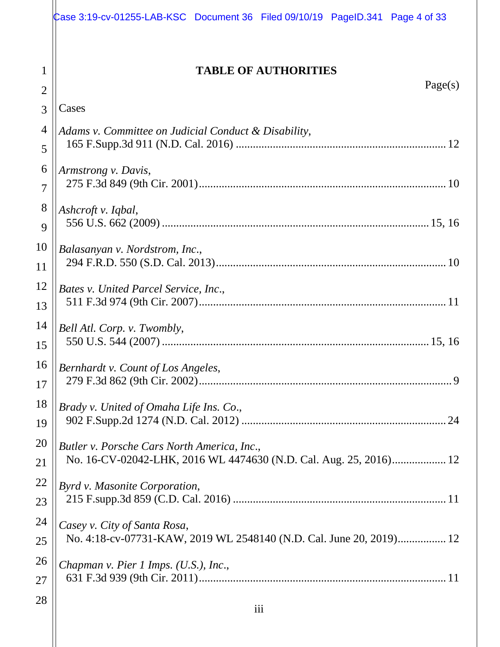|                     | Case 3:19-cv-01255-LAB-KSC Document 36 Filed 09/10/19 PageID.341 Page 4 of 33 |
|---------------------|-------------------------------------------------------------------------------|
| 1<br>$\overline{2}$ | <b>TABLE OF AUTHORITIES</b><br>Page(s)                                        |
| 3                   | Cases                                                                         |
| 4                   | Adams v. Committee on Judicial Conduct & Disability,                          |
| 5                   |                                                                               |
| 6                   | Armstrong v. Davis,                                                           |
| 7                   |                                                                               |
| 8                   | Ashcroft v. Iqbal,                                                            |
| 9                   |                                                                               |
| 10<br>11            | Balasanyan v. Nordstrom, Inc.,                                                |
| 12                  | Bates v. United Parcel Service, Inc.,                                         |
| 13                  |                                                                               |
| 14                  | Bell Atl. Corp. v. Twombly,                                                   |
| 15                  |                                                                               |
| 16                  | $\parallel$ Bernhardt v. Count of Los Angeles,                                |
| 17                  |                                                                               |
| 18                  | Brady v. United of Omaha Life Ins. Co.,                                       |
| 19                  |                                                                               |
| 20<br>21            | Butler v. Porsche Cars North America, Inc.,                                   |
| 22                  |                                                                               |
| 23                  | Byrd v. Masonite Corporation,                                                 |
| 24                  | Casey v. City of Santa Rosa,                                                  |
| 25                  | No. 4:18-cv-07731-KAW, 2019 WL 2548140 (N.D. Cal. June 20, 2019) 12           |
| 26                  | Chapman v. Pier 1 Imps. (U.S.), Inc.,                                         |
| 27                  |                                                                               |
| 28                  |                                                                               |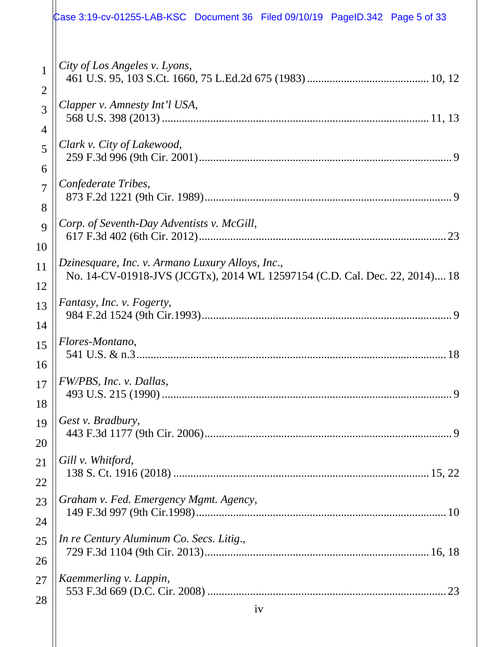|                | Case 3:19-cv-01255-LAB-KSC Document 36 Filed 09/10/19 PageID.342 Page 5 of 33 |
|----------------|-------------------------------------------------------------------------------|
| $\mathbf{1}$   | City of Los Angeles v. Lyons,                                                 |
| $\overline{2}$ |                                                                               |
| 3              | Clapper v. Amnesty Int'l USA,                                                 |
| 4              |                                                                               |
| 5              | Clark v. City of Lakewood,                                                    |
| 6              |                                                                               |
| $\overline{7}$ | Confederate Tribes,                                                           |
| 8              |                                                                               |
| 9              | Corp. of Seventh-Day Adventists v. McGill,                                    |
| 10             |                                                                               |
| 11             | Dzinesquare, Inc. v. Armano Luxury Alloys, Inc.,                              |
| 12             | No. 14-CV-01918-JVS (JCGTx), 2014 WL 12597154 (C.D. Cal. Dec. 22, 2014) 18    |
| 13             | Fantasy, Inc. v. Fogerty,                                                     |
| 14             |                                                                               |
| 15             | Flores-Montano,                                                               |
| 16             |                                                                               |
| 17             | FW/PBS, Inc. v. Dallas,                                                       |
| 18             |                                                                               |
| 19             | Gest v. Bradbury,                                                             |
| 20             |                                                                               |
| 21             | Gill v. Whitford,                                                             |
| 22             |                                                                               |
| 23             | Graham v. Fed. Emergency Mgmt. Agency,                                        |
| 24             |                                                                               |
| 25             | In re Century Aluminum Co. Secs. Litig.,                                      |
| 26             |                                                                               |
| 27             | Kaemmerling v. Lappin,                                                        |
| 28             |                                                                               |
|                | 1V                                                                            |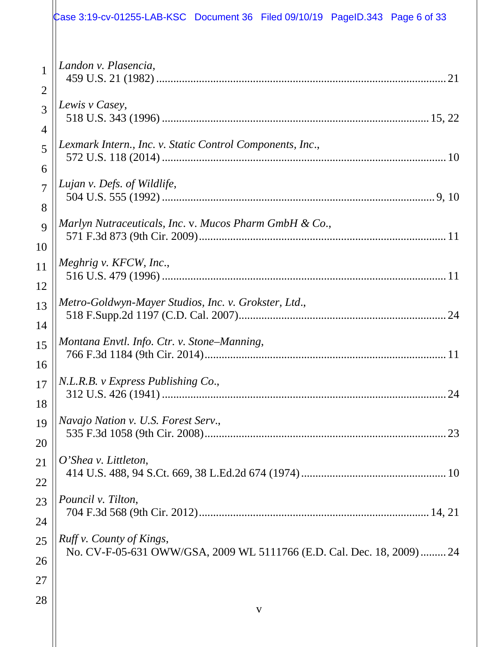|                | Case 3:19-cv-01255-LAB-KSC Document 36 Filed 09/10/19 PageID.343 Page 6 of 33 |
|----------------|-------------------------------------------------------------------------------|
| $\mathbf{1}$   | Landon v. Plasencia,                                                          |
| $\overline{2}$ |                                                                               |
| 3              | Lewis v Casey,                                                                |
| $\overline{4}$ |                                                                               |
| 5              | Lexmark Intern., Inc. v. Static Control Components, Inc.,                     |
| 6              |                                                                               |
| $\overline{7}$ | Lujan v. Defs. of Wildlife,                                                   |
| 8              |                                                                               |
| 9              | Marlyn Nutraceuticals, Inc. v. Mucos Pharm GmbH & Co.,                        |
| 10             |                                                                               |
| 11             | Meghrig v. KFCW, Inc.,                                                        |
| 12             |                                                                               |
| 13             | Metro-Goldwyn-Mayer Studios, Inc. v. Grokster, Ltd.,                          |
| 14             |                                                                               |
| 15             | Montana Envtl. Info. Ctr. v. Stone-Manning,                                   |
| 16             |                                                                               |
| 17             | N.L.R.B. v Express Publishing Co.,                                            |
| 18             |                                                                               |
| 19             | Navajo Nation v. U.S. Forest Serv.,                                           |
| 20             |                                                                               |
| 21             | $O'$ Shea v. Littleton,                                                       |
| 22             |                                                                               |
| 23             | Pouncil v. Tilton,                                                            |
| 24             |                                                                               |
| 25             | Ruff v. County of Kings,                                                      |
| 26             | No. CV-F-05-631 OWW/GSA, 2009 WL 5111766 (E.D. Cal. Dec. 18, 2009)  24        |
| 27<br>28       |                                                                               |
|                | V                                                                             |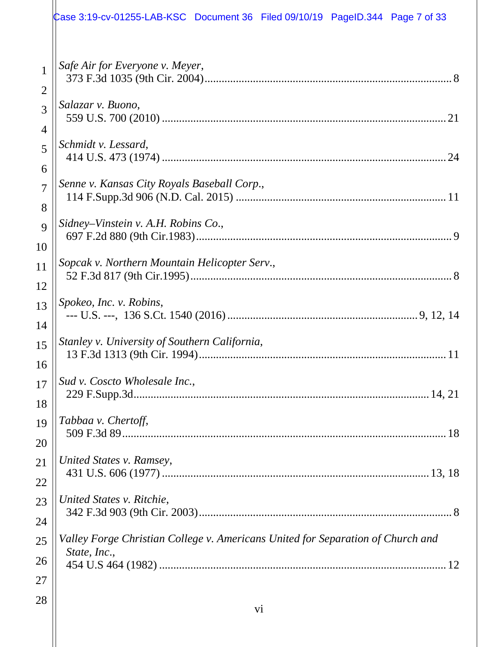|                | Case 3:19-cv-01255-LAB-KSC Document 36 Filed 09/10/19 PageID.344 Page 7 of 33                   |
|----------------|-------------------------------------------------------------------------------------------------|
| $\mathbf{1}$   | Safe Air for Everyone v. Meyer,                                                                 |
| $\overline{2}$ |                                                                                                 |
| 3              | Salazar v. Buono,                                                                               |
| $\overline{4}$ |                                                                                                 |
| 5              | Schmidt v. Lessard,                                                                             |
| 6              |                                                                                                 |
| $\overline{7}$ | Senne v. Kansas City Royals Baseball Corp.,                                                     |
| 8              |                                                                                                 |
| 9              | Sidney–Vinstein v. A.H. Robins Co.,                                                             |
| 10             |                                                                                                 |
| 11             | Sopcak v. Northern Mountain Helicopter Serv.,                                                   |
| 12             |                                                                                                 |
| 13             | Spokeo, Inc. v. Robins,                                                                         |
| 14             |                                                                                                 |
| 15             | Stanley v. University of Southern California,                                                   |
| 16             |                                                                                                 |
| 17             | Sud v. Coscto Wholesale Inc.,                                                                   |
| 18             |                                                                                                 |
| 19             | Tabbaa v. Chertoff,                                                                             |
| 20             |                                                                                                 |
| 21             | United States v. Ramsey,                                                                        |
| 22             |                                                                                                 |
| 23             | United States v. Ritchie,                                                                       |
| 24             |                                                                                                 |
| 25<br>26       | Valley Forge Christian College v. Americans United for Separation of Church and<br>State, Inc., |
| 27<br>28       |                                                                                                 |
|                | $\overline{v}$                                                                                  |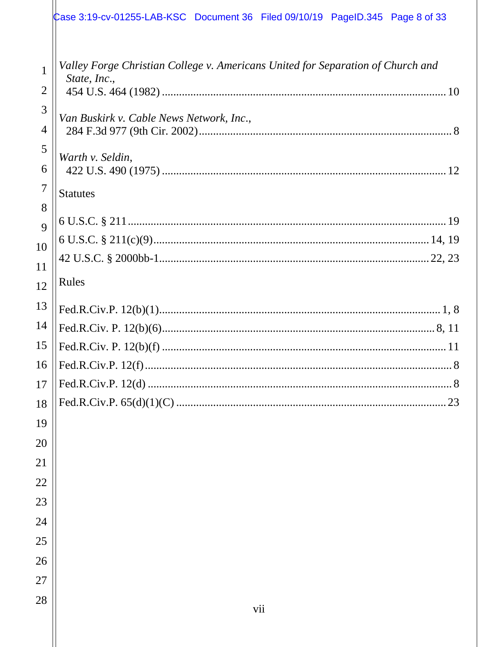## $\alpha$  ase 3:19-cv-01255-LAB-KSC Document 36 Filed 09/10/19 PageID.345 Page 8 of 33

| 1<br>$\overline{2}$ | Valley Forge Christian College v. Americans United for Separation of Church and<br>State, Inc., |
|---------------------|-------------------------------------------------------------------------------------------------|
|                     |                                                                                                 |
| 3<br>$\overline{4}$ | Van Buskirk v. Cable News Network, Inc.,                                                        |
| 5                   |                                                                                                 |
| 6                   | Warth v. Seldin,                                                                                |
| $\overline{7}$      |                                                                                                 |
| 8                   | <b>Statutes</b>                                                                                 |
| 9                   |                                                                                                 |
| 10                  |                                                                                                 |
| 11                  |                                                                                                 |
| 12                  | Rules                                                                                           |
| 13                  |                                                                                                 |
| 14                  |                                                                                                 |
| 15                  |                                                                                                 |
| 16                  |                                                                                                 |
| 17                  |                                                                                                 |
| 18                  |                                                                                                 |
| 19                  |                                                                                                 |
| 20                  |                                                                                                 |
| 21                  |                                                                                                 |
| 22                  |                                                                                                 |
| 23                  |                                                                                                 |
| 24                  |                                                                                                 |
| 25                  |                                                                                                 |
| 26                  |                                                                                                 |
| 27                  |                                                                                                 |
|                     |                                                                                                 |
| 28                  | vii                                                                                             |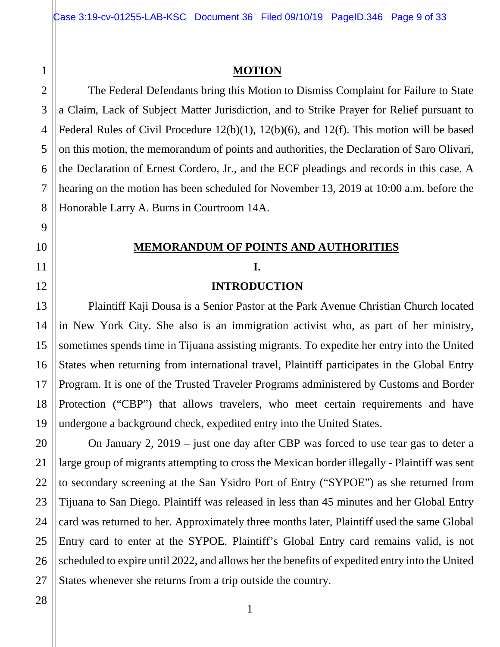#### **MOTION**

The Federal Defendants bring this Motion to Dismiss Complaint for Failure to State a Claim, Lack of Subject Matter Jurisdiction, and to Strike Prayer for Relief pursuant to Federal Rules of Civil Procedure 12(b)(1), 12(b)(6), and 12(f). This motion will be based on this motion, the memorandum of points and authorities, the Declaration of Saro Olivari, the Declaration of Ernest Cordero, Jr., and the ECF pleadings and records in this case. A hearing on the motion has been scheduled for November 13, 2019 at 10:00 a.m. before the Honorable Larry A. Burns in Courtroom 14A.

# **MEMORANDUM OF POINTS AND AUTHORITIES**

# **I.**

#### **INTRODUCTION**

Plaintiff Kaji Dousa is a Senior Pastor at the Park Avenue Christian Church located in New York City. She also is an immigration activist who, as part of her ministry, sometimes spends time in Tijuana assisting migrants. To expedite her entry into the United States when returning from international travel, Plaintiff participates in the Global Entry Program. It is one of the Trusted Traveler Programs administered by Customs and Border Protection ("CBP") that allows travelers, who meet certain requirements and have undergone a background check, expedited entry into the United States.

On January 2, 2019 – just one day after CBP was forced to use tear gas to deter a large group of migrants attempting to cross the Mexican border illegally - Plaintiff was sent to secondary screening at the San Ysidro Port of Entry ("SYPOE") as she returned from Tijuana to San Diego. Plaintiff was released in less than 45 minutes and her Global Entry card was returned to her. Approximately three months later, Plaintiff used the same Global Entry card to enter at the SYPOE. Plaintiff's Global Entry card remains valid, is not scheduled to expire until 2022, and allows her the benefits of expedited entry into the United States whenever she returns from a trip outside the country.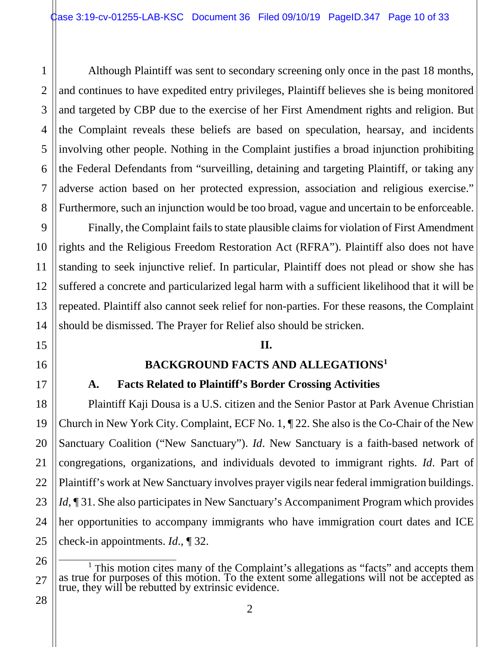Although Plaintiff was sent to secondary screening only once in the past 18 months, and continues to have expedited entry privileges, Plaintiff believes she is being monitored and targeted by CBP due to the exercise of her First Amendment rights and religion. But the Complaint reveals these beliefs are based on speculation, hearsay, and incidents involving other people. Nothing in the Complaint justifies a broad injunction prohibiting the Federal Defendants from "surveilling, detaining and targeting Plaintiff, or taking any adverse action based on her protected expression, association and religious exercise." Furthermore, such an injunction would be too broad, vague and uncertain to be enforceable.

Finally, the Complaint fails to state plausible claims for violation of First Amendment rights and the Religious Freedom Restoration Act (RFRA"). Plaintiff also does not have standing to seek injunctive relief. In particular, Plaintiff does not plead or show she has suffered a concrete and particularized legal harm with a sufficient likelihood that it will be repeated. Plaintiff also cannot seek relief for non-parties. For these reasons, the Complaint should be dismissed. The Prayer for Relief also should be stricken.

#### **II.**

#### **BACKGROUND FACTS AND ALLEGATIONS[1](#page-9-0)**

#### **A. Facts Related to Plaintiff's Border Crossing Activities**

Plaintiff Kaji Dousa is a U.S. citizen and the Senior Pastor at Park Avenue Christian Church in New York City. Complaint, ECF No. 1, ¶ 22. She also is the Co-Chair of the New Sanctuary Coalition ("New Sanctuary"). *Id*. New Sanctuary is a faith-based network of congregations, organizations, and individuals devoted to immigrant rights. *Id*. Part of Plaintiff's work at New Sanctuary involves prayer vigils near federal immigration buildings. *Id*, 131. She also participates in New Sanctuary's Accompaniment Program which provides her opportunities to accompany immigrants who have immigration court dates and ICE check-in appointments. *Id*., ¶ 32.

1

<span id="page-9-0"></span><sup>&</sup>lt;sup>1</sup> This motion cites many of the Complaint's allegations as "facts" and accepts them as true for purposes of this motion. To the extent some allegations will not be accepted as true, they will be rebutted by extrinsic evi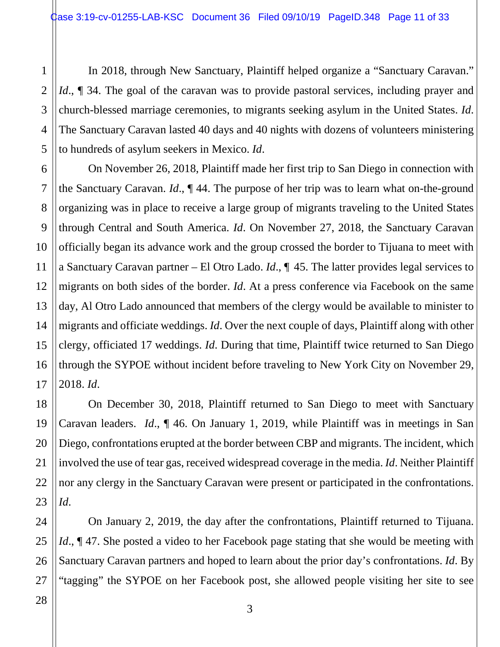In 2018, through New Sanctuary, Plaintiff helped organize a "Sanctuary Caravan." *Id.*, **[470** 34. The goal of the caravan was to provide pastoral services, including prayer and church-blessed marriage ceremonies, to migrants seeking asylum in the United States. *Id*. The Sanctuary Caravan lasted 40 days and 40 nights with dozens of volunteers ministering to hundreds of asylum seekers in Mexico. *Id*.

On November 26, 2018, Plaintiff made her first trip to San Diego in connection with the Sanctuary Caravan. *Id*., ¶ 44. The purpose of her trip was to learn what on-the-ground organizing was in place to receive a large group of migrants traveling to the United States through Central and South America. *Id*. On November 27, 2018, the Sanctuary Caravan officially began its advance work and the group crossed the border to Tijuana to meet with a Sanctuary Caravan partner – El Otro Lado. *Id*., ¶ 45. The latter provides legal services to migrants on both sides of the border. *Id*. At a press conference via Facebook on the same day, Al Otro Lado announced that members of the clergy would be available to minister to migrants and officiate weddings. *Id*. Over the next couple of days, Plaintiff along with other clergy, officiated 17 weddings. *Id*. During that time, Plaintiff twice returned to San Diego through the SYPOE without incident before traveling to New York City on November 29, 2018. *Id*.

On December 30, 2018, Plaintiff returned to San Diego to meet with Sanctuary Caravan leaders. *Id*., ¶ 46. On January 1, 2019, while Plaintiff was in meetings in San Diego, confrontations erupted at the border between CBP and migrants. The incident, which involved the use of tear gas, received widespread coverage in the media. *Id*. Neither Plaintiff nor any clergy in the Sanctuary Caravan were present or participated in the confrontations. *Id*.

On January 2, 2019, the day after the confrontations, Plaintiff returned to Tijuana. *Id.*,  $\P$  47. She posted a video to her Facebook page stating that she would be meeting with Sanctuary Caravan partners and hoped to learn about the prior day's confrontations. *Id*. By "tagging" the SYPOE on her Facebook post, she allowed people visiting her site to see

3

1

2

3

4

5

6

7

8

9

10

11

12

13

14

15

16

17

18

19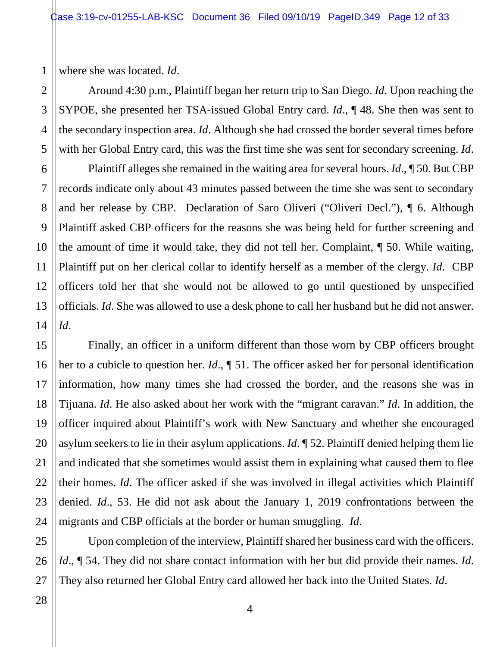where she was located. *Id*.

1

2

3

4

5

7

8

9

10

11

12

13

14

15

16

17

18

19

20

21

22

23

24

25

26

Around 4:30 p.m., Plaintiff began her return trip to San Diego. *Id*. Upon reaching the SYPOE, she presented her TSA-issued Global Entry card. *Id*., ¶ 48. She then was sent to the secondary inspection area. *Id*. Although she had crossed the border several times before with her Global Entry card, this was the first time she was sent for secondary screening. *Id*.

6 Plaintiff alleges she remained in the waiting area for several hours. *Id*., ¶ 50. But CBP records indicate only about 43 minutes passed between the time she was sent to secondary and her release by CBP. Declaration of Saro Oliveri ("Oliveri Decl."), ¶ 6. Although Plaintiff asked CBP officers for the reasons she was being held for further screening and the amount of time it would take, they did not tell her. Complaint, ¶ 50. While waiting, Plaintiff put on her clerical collar to identify herself as a member of the clergy. *Id*. CBP officers told her that she would not be allowed to go until questioned by unspecified officials. *Id*. She was allowed to use a desk phone to call her husband but he did not answer. *Id*.

Finally, an officer in a uniform different than those worn by CBP officers brought her to a cubicle to question her. *Id*., ¶ 51. The officer asked her for personal identification information, how many times she had crossed the border, and the reasons she was in Tijuana. *Id*. He also asked about her work with the "migrant caravan." *Id*. In addition, the officer inquired about Plaintiff's work with New Sanctuary and whether she encouraged asylum seekers to lie in their asylum applications. *Id*. ¶ 52. Plaintiff denied helping them lie and indicated that she sometimes would assist them in explaining what caused them to flee their homes. *Id*. The officer asked if she was involved in illegal activities which Plaintiff denied. *Id*., 53. He did not ask about the January 1, 2019 confrontations between the migrants and CBP officials at the border or human smuggling. *Id*.

Upon completion of the interview, Plaintiff shared her business card with the officers. *Id*., ¶ 54. They did not share contact information with her but did provide their names. *Id*. They also returned her Global Entry card allowed her back into the United States. *Id*.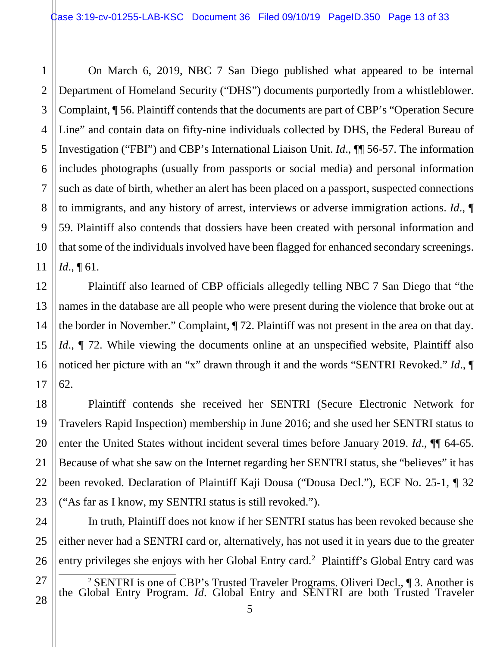15

16

17

18

19

20

21

22

23

24

25

26

<span id="page-12-0"></span>27

28

On March 6, 2019, NBC 7 San Diego published what appeared to be internal Department of Homeland Security ("DHS") documents purportedly from a whistleblower. Complaint, ¶ 56. Plaintiff contends that the documents are part of CBP's "Operation Secure Line" and contain data on fifty-nine individuals collected by DHS, the Federal Bureau of Investigation ("FBI") and CBP's International Liaison Unit. *Id*., ¶¶ 56-57. The information includes photographs (usually from passports or social media) and personal information such as date of birth, whether an alert has been placed on a passport, suspected connections to immigrants, and any history of arrest, interviews or adverse immigration actions. *Id*., ¶ 59. Plaintiff also contends that dossiers have been created with personal information and that some of the individuals involved have been flagged for enhanced secondary screenings. *Id*., ¶ 61.

Plaintiff also learned of CBP officials allegedly telling NBC 7 San Diego that "the names in the database are all people who were present during the violence that broke out at the border in November." Complaint, ¶ 72. Plaintiff was not present in the area on that day. *Id.*,  $\parallel$  72. While viewing the documents online at an unspecified website, Plaintiff also noticed her picture with an "x" drawn through it and the words "SENTRI Revoked." *Id*., ¶ 62.

Plaintiff contends she received her SENTRI (Secure Electronic Network for Travelers Rapid Inspection) membership in June 2016; and she used her SENTRI status to enter the United States without incident several times before January 2019. *Id*., ¶¶ 64-65. Because of what she saw on the Internet regarding her SENTRI status, she "believes" it has been revoked. Declaration of Plaintiff Kaji Dousa ("Dousa Decl."), ECF No. 25-1, ¶ 32 ("As far as I know, my SENTRI status is still revoked.").

In truth, Plaintiff does not know if her SENTRI status has been revoked because she either never had a SENTRI card or, alternatively, has not used it in years due to the greater entry privileges she enjoys with her Global Entry card.<sup>[2](#page-12-0)</sup> Plaintiff's Global Entry card was

<sup>2</sup> SENTRI is one of CBP's Trusted Traveler Programs. Oliveri Decl., ¶ 3. Another is the Global Entry Program. *Id*. Global Entry and SENTRI are both Trusted Traveler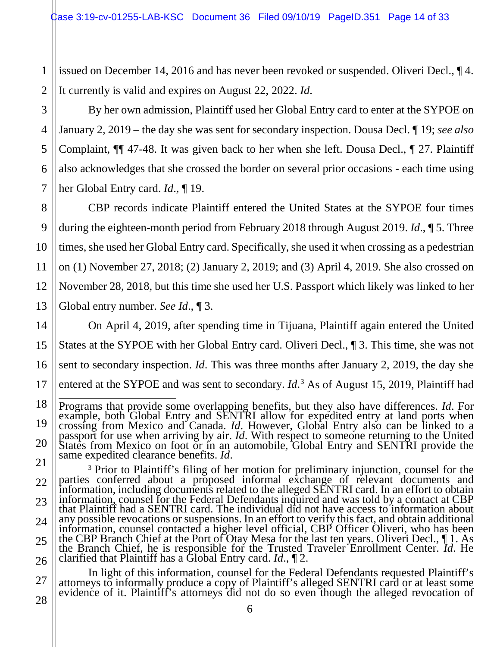issued on December 14, 2016 and has never been revoked or suspended. Oliveri Decl., ¶ 4. It currently is valid and expires on August 22, 2022. *Id*.

By her own admission, Plaintiff used her Global Entry card to enter at the SYPOE on January 2, 2019 – the day she was sent for secondary inspection. Dousa Decl. ¶ 19; *see also* Complaint, ¶¶ 47-48. It was given back to her when she left. Dousa Decl., ¶ 27. Plaintiff also acknowledges that she crossed the border on several prior occasions - each time using her Global Entry card. *Id*., ¶ 19.

CBP records indicate Plaintiff entered the United States at the SYPOE four times during the eighteen-month period from February 2018 through August 2019. *Id*., ¶ 5. Three times, she used her Global Entry card. Specifically, she used it when crossing as a pedestrian on (1) November 27, 2018; (2) January 2, 2019; and (3) April 4, 2019. She also crossed on November 28, 2018, but this time she used her U.S. Passport which likely was linked to her Global entry number. *See Id*., ¶ 3.

On April 4, 2019, after spending time in Tijuana, Plaintiff again entered the United States at the SYPOE with her Global Entry card. Oliveri Decl., ¶ 3. This time, she was not sent to secondary inspection. *Id*. This was three months after January 2, 2019, the day she entered at the SYPOE and was sent to secondary. *Id*. [3](#page-13-0) As of August 15, 2019, Plaintiff had

<span id="page-13-0"></span><sup>3</sup> Prior to Plaintiff's filing of her motion for preliminary injunction, counsel for the parties conferred about a proposed informal exchange of relevant documents and information, including documents related to the alleg information, counsel for the Federal Defendants inquired and was told by a contact at CBP that Plaintiff had a SENTRI card. The individual did not have access to information about any possible revocations or suspensions. In an effort to verify this fact, and obtain additional information, counsel contacted a higher level official, CBP Officer Oliveri, who has been the CBP Branch Chief at the Port of Otay Mesa for the last ten years. Oliveri Decl., ¶ 1. As the Branch Chief, he is responsible for the Trusted Traveler Enrollment Center. *Id*. He clarified that Plaintiff has a Global Entry card. *Id*., ¶ 2.

In light of this information, counsel for the Federal Defendants requested Plaintiff's attorneys to informally produce a copy of Plaintiff's alleged SENTRI card or at least some evidence of it. Plaintiff's attorneys did not do so even though the alleged revocation of

1

2

3

4

5

 Programs that provide some overlapping benefits, but they also have differences. *Id*. For example, both Global Entry and SENTRI allow for expedited entry at land ports when<br>crossing from Mexico and Canada. *Id*. However, Global Entry also can be linked to a<br>passport for use when arriving by air. *Id*. With resp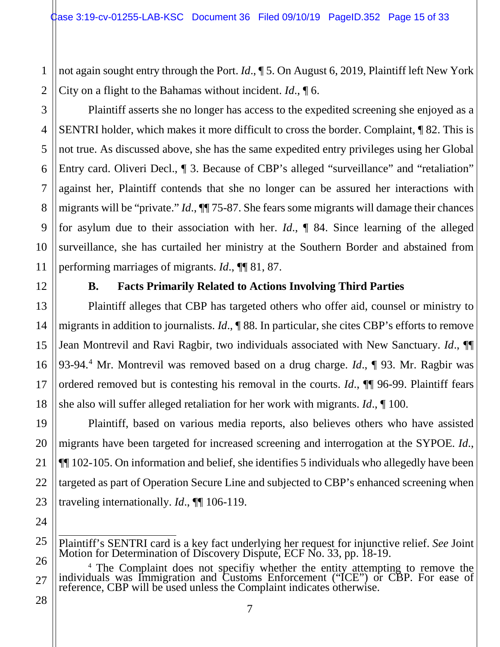not again sought entry through the Port. *Id*., ¶ 5. On August 6, 2019, Plaintiff left New York City on a flight to the Bahamas without incident. *Id*., ¶ 6.

Plaintiff asserts she no longer has access to the expedited screening she enjoyed as a SENTRI holder, which makes it more difficult to cross the border. Complaint, ¶ 82. This is not true. As discussed above, she has the same expedited entry privileges using her Global Entry card. Oliveri Decl., ¶ 3. Because of CBP's alleged "surveillance" and "retaliation" against her, Plaintiff contends that she no longer can be assured her interactions with migrants will be "private." *Id*., ¶¶ 75-87. She fears some migrants will damage their chances for asylum due to their association with her. *Id*., ¶ 84. Since learning of the alleged surveillance, she has curtailed her ministry at the Southern Border and abstained from performing marriages of migrants. *Id*., ¶¶ 81, 87.

1

2

3

4

5

6

7

8

9

10

11

12

13

14

15

16

17

18

19

20

21

22

23

24

25

#### **B. Facts Primarily Related to Actions Involving Third Parties**

Plaintiff alleges that CBP has targeted others who offer aid, counsel or ministry to migrants in addition to journalists. *Id*., ¶ 88. In particular, she cites CBP's efforts to remove Jean Montrevil and Ravi Ragbir, two individuals associated with New Sanctuary. *Id*., ¶¶ 93-94.[4](#page-14-0) Mr. Montrevil was removed based on a drug charge. *Id*., ¶ 93. Mr. Ragbir was ordered removed but is contesting his removal in the courts. *Id*., ¶¶ 96-99. Plaintiff fears she also will suffer alleged retaliation for her work with migrants. *Id*., ¶ 100.

Plaintiff, based on various media reports, also believes others who have assisted migrants have been targeted for increased screening and interrogation at the SYPOE. *Id*., ¶¶ 102-105. On information and belief, she identifies 5 individuals who allegedly have been targeted as part of Operation Secure Line and subjected to CBP's enhanced screening when traveling internationally. *Id*., ¶¶ 106-119.

- Plaintiff's SENTRI card is a key fact underlying her request for injunctive relief. *See* Joint Motion for Determination of Discovery Dispute, ECF No. 33, pp. 18-19.
- <span id="page-14-0"></span>26 27 <sup>4</sup> The Complaint does not specifiy whether the entity attempting to remove the individuals was Immigration and Customs Enforcement ("ICE") or CBP. For ease of reference, CBP will be used unless the Complaint indicates otherwise.
- 28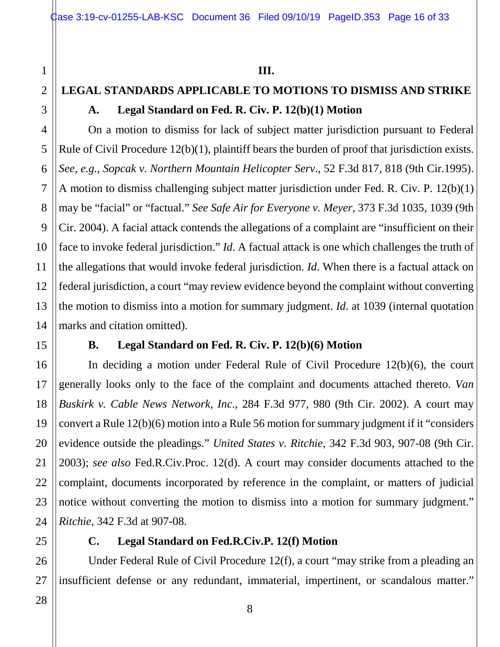# **LEGAL STANDARDS APPLICABLE TO MOTIONS TO DISMISS AND STRIKE A. Legal Standard on Fed. R. Civ. P. 12(b)(1) Motion**

On a motion to dismiss for lack of subject matter jurisdiction pursuant to Federal Rule of Civil Procedure 12(b)(1), plaintiff bears the burden of proof that jurisdiction exists. *See, e.g., Sopcak v. Northern Mountain Helicopter Serv*., 52 F.3d 817, 818 (9th Cir.1995). A motion to dismiss challenging subject matter jurisdiction under Fed. R. Civ. P. 12(b)(1) may be "facial" or "factual." *See Safe Air for Everyone v. Meyer*, 373 F.3d 1035, 1039 (9th Cir. 2004). A facial attack contends the allegations of a complaint are "insufficient on their face to invoke federal jurisdiction." *Id*. A factual attack is one which challenges the truth of the allegations that would invoke federal jurisdiction. *Id*. When there is a factual attack on federal jurisdiction, a court "may review evidence beyond the complaint without converting the motion to dismiss into a motion for summary judgment. *Id*. at 1039 (internal quotation marks and citation omitted).

#### **B. Legal Standard on Fed. R. Civ. P. 12(b)(6) Motion**

In deciding a motion under Federal Rule of Civil Procedure 12(b)(6), the court generally looks only to the face of the complaint and documents attached thereto. *Van Buskirk v. Cable News Network, Inc*., 284 F.3d 977, 980 (9th Cir. 2002). A court may convert a Rule 12(b)(6) motion into a Rule 56 motion for summary judgment if it "considers evidence outside the pleadings." *United States v. Ritchie*, 342 F.3d 903, 907-08 (9th Cir. 2003); *see also* Fed.R.Civ.Proc. 12(d). A court may consider documents attached to the complaint, documents incorporated by reference in the complaint, or matters of judicial notice without converting the motion to dismiss into a motion for summary judgment." *Ritchie*, 342 F.3d at 907-08.

### **C. Legal Standard on Fed.R.Civ.P. 12(f) Motion**

Under Federal Rule of Civil Procedure 12(f), a court "may strike from a pleading an insufficient defense or any redundant, immaterial, impertinent, or scandalous matter."

1

2

3

4

5

6

7

8

9

10

11

12

13

14

15

16

17

18

19

20

21

22

23

24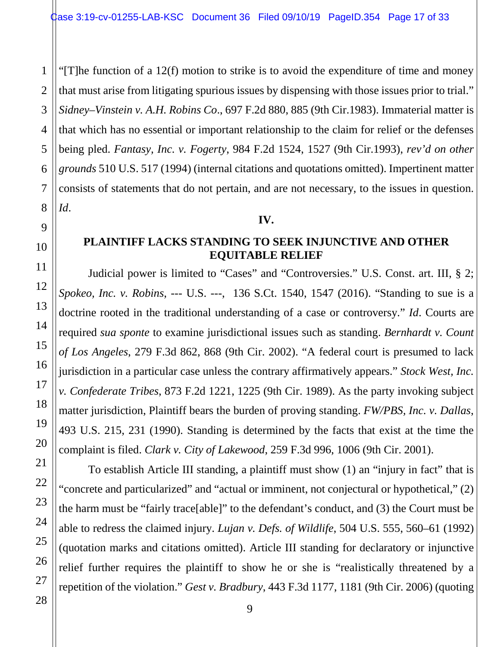1 2 3 4 5 6 7 8 "[T]he function of a 12(f) motion to strike is to avoid the expenditure of time and money that must arise from litigating spurious issues by dispensing with those issues prior to trial." *Sidney–Vinstein v. A.H. Robins Co*., 697 F.2d 880, 885 (9th Cir.1983). Immaterial matter is that which has no essential or important relationship to the claim for relief or the defenses being pled. *Fantasy, Inc. v. Fogerty*, 984 F.2d 1524, 1527 (9th Cir.1993), *rev'd on other grounds* 510 U.S. 517 (1994) (internal citations and quotations omitted). Impertinent matter consists of statements that do not pertain, and are not necessary, to the issues in question. *Id*.

#### **IV.**

#### **PLAINTIFF LACKS STANDING TO SEEK INJUNCTIVE AND OTHER EQUITABLE RELIEF**

Judicial power is limited to "Cases" and "Controversies." U.S. Const. art. III, § 2; *Spokeo, Inc. v. Robins*, --- U.S. ---, 136 S.Ct. 1540, 1547 (2016). "Standing to sue is a doctrine rooted in the traditional understanding of a case or controversy." *Id*. Courts are required *sua sponte* to examine jurisdictional issues such as standing. *Bernhardt v. Count of Los Angeles*, 279 F.3d 862, 868 (9th Cir. 2002). "A federal court is presumed to lack jurisdiction in a particular case unless the contrary affirmatively appears." *Stock West, Inc. v. Confederate Tribes*, 873 F.2d 1221, 1225 (9th Cir. 1989). As the party invoking subject matter jurisdiction, Plaintiff bears the burden of proving standing. *FW/PBS, Inc. v. Dallas*, 493 U.S. 215, 231 (1990). Standing is determined by the facts that exist at the time the complaint is filed. *Clark v. City of Lakewood*, 259 F.3d 996, 1006 (9th Cir. 2001).

To establish Article III standing, a plaintiff must show (1) an "injury in fact" that is "concrete and particularized" and "actual or imminent, not conjectural or hypothetical," (2) the harm must be "fairly trace[able]" to the defendant's conduct, and (3) the Court must be able to redress the claimed injury. *Lujan v. Defs. of Wildlife*, 504 U.S. 555, 560–61 (1992) (quotation marks and citations omitted). Article III standing for declaratory or injunctive relief further requires the plaintiff to show he or she is "realistically threatened by a repetition of the violation." *Gest v. Bradbury*, 443 F.3d 1177, 1181 (9th Cir. 2006) (quoting

9

10

11

12

13

14

15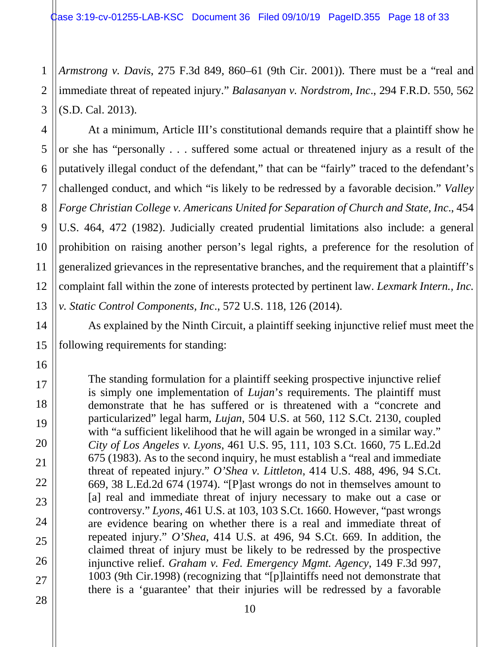1 2 3 *Armstrong v. Davis*, 275 F.3d 849, 860–61 (9th Cir. 2001)). There must be a "real and immediate threat of repeated injury." *Balasanyan v. Nordstrom, Inc*., 294 F.R.D. 550, 562 (S.D. Cal. 2013).

At a minimum, Article III's constitutional demands require that a plaintiff show he or she has "personally . . . suffered some actual or threatened injury as a result of the putatively illegal conduct of the defendant," that can be "fairly" traced to the defendant's challenged conduct, and which "is likely to be redressed by a favorable decision." *Valley Forge Christian College v. Americans United for Separation of Church and State, Inc*., 454 U.S. 464, 472 (1982). Judicially created prudential limitations also include: a general prohibition on raising another person's legal rights, a preference for the resolution of generalized grievances in the representative branches, and the requirement that a plaintiff's complaint fall within the zone of interests protected by pertinent law. *Lexmark Intern., Inc. v. Static Control Components, Inc*., 572 U.S. 118, 126 (2014).

As explained by the Ninth Circuit, a plaintiff seeking injunctive relief must meet the following requirements for standing:

The standing formulation for a plaintiff seeking prospective injunctive relief is simply one implementation of *Lujan*'*s* requirements. The plaintiff must demonstrate that he has suffered or is threatened with a "concrete and particularized" legal harm, *Lujan*, 504 U.S. at 560, 112 S.Ct. 2130, coupled with "a sufficient likelihood that he will again be wronged in a similar way." *City of Los Angeles v. Lyons*, 461 U.S. 95, 111, 103 S.Ct. 1660, 75 L.Ed.2d 675 (1983). As to the second inquiry, he must establish a "real and immediate threat of repeated injury." *O'Shea v. Littleton*, 414 U.S. 488, 496, 94 S.Ct. 669, 38 L.Ed.2d 674 (1974). "[P]ast wrongs do not in themselves amount to [a] real and immediate threat of injury necessary to make out a case or controversy." *Lyons*, 461 U.S. at 103, 103 S.Ct. 1660. However, "past wrongs are evidence bearing on whether there is a real and immediate threat of repeated injury." *O'Shea*, 414 U.S. at 496, 94 S.Ct. 669. In addition, the claimed threat of injury must be likely to be redressed by the prospective injunctive relief. *Graham v. Fed. Emergency Mgmt. Agency*, 149 F.3d 997, 1003 (9th Cir.1998) (recognizing that "[p]laintiffs need not demonstrate that there is a 'guarantee' that their injuries will be redressed by a favorable

4

5

6

7

8

9

10

11

12

13

14

15

16

17

18

19

20

21

22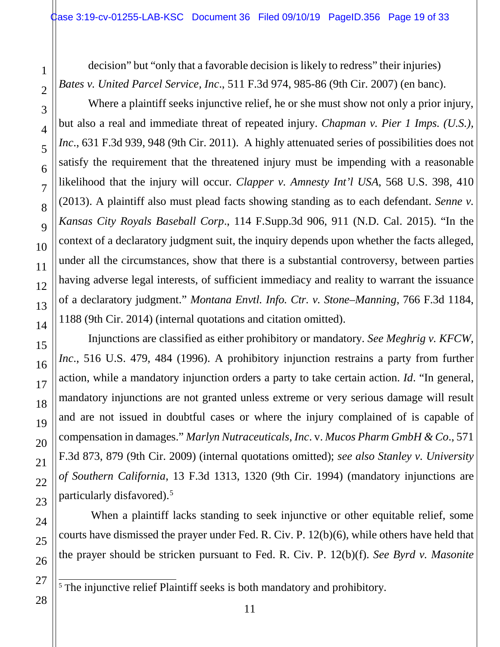decision" but "only that a favorable decision is likely to redress" their injuries) *Bates v. United Parcel Service, Inc*., 511 F.3d 974, 985-86 (9th Cir. 2007) (en banc).

Where a plaintiff seeks injunctive relief, he or she must show not only a prior injury, but also a real and immediate threat of repeated injury. *Chapman v. Pier 1 Imps. (U.S.), Inc*., 631 F.3d 939, 948 (9th Cir. 2011). A highly attenuated series of possibilities does not satisfy the requirement that the threatened injury must be impending with a reasonable likelihood that the injury will occur. *Clapper v. Amnesty Int'l USA*, 568 U.S. 398, 410 (2013). A plaintiff also must plead facts showing standing as to each defendant. *Senne v. Kansas City Royals Baseball Corp*., 114 F.Supp.3d 906, 911 (N.D. Cal. 2015). "In the context of a declaratory judgment suit, the inquiry depends upon whether the facts alleged, under all the circumstances, show that there is a substantial controversy, between parties having adverse legal interests, of sufficient immediacy and reality to warrant the issuance of a declaratory judgment." *Montana Envtl. Info. Ctr. v. Stone–Manning*, 766 F.3d 1184, 1188 (9th Cir. 2014) (internal quotations and citation omitted).

Injunctions are classified as either prohibitory or mandatory. *See Meghrig v. KFCW, Inc*., 516 U.S. 479, 484 (1996). A prohibitory injunction restrains a party from further action, while a mandatory injunction orders a party to take certain action. *Id*. "In general, mandatory injunctions are not granted unless extreme or very serious damage will result and are not issued in doubtful cases or where the injury complained of is capable of compensation in damages." *Marlyn Nutraceuticals, Inc*. v. *Mucos Pharm GmbH & Co*., 571 F.3d 873, 879 (9th Cir. 2009) (internal quotations omitted); *see also Stanley v. University of Southern California*, 13 F.3d 1313, 1320 (9th Cir. 1994) (mandatory injunctions are particularly disfavored).<sup>[5](#page-18-0)</sup>

When a plaintiff lacks standing to seek injunctive or other equitable relief, some courts have dismissed the prayer under Fed. R. Civ. P. 12(b)(6), while others have held that the prayer should be stricken pursuant to Fed. R. Civ. P. 12(b)(f). *See Byrd v. Masonite* 

<span id="page-18-0"></span> $\frac{5}{5}$  The injunctive relief Plaintiff seeks is both mandatory and prohibitory.

1

2

3

4

5

6

7

8

9

10

11

12

13

14

15

16

17

18

19

20

21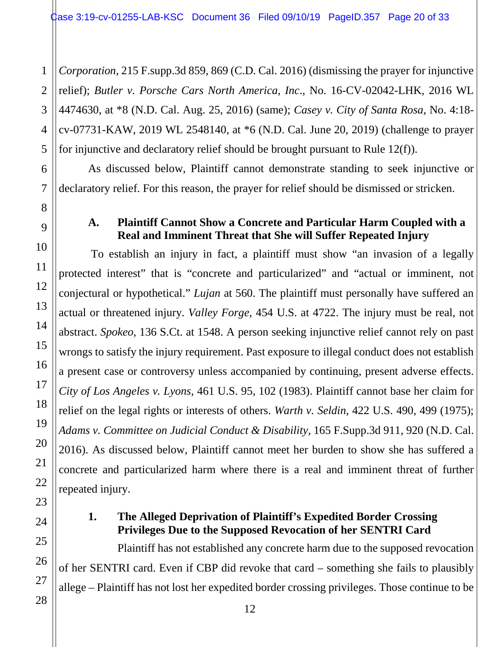1 *Corporation*, 215 F.supp.3d 859, 869 (C.D. Cal. 2016) (dismissing the prayer for injunctive relief); *Butler v. Porsche Cars North America, Inc*., No. 16-CV-02042-LHK, 2016 WL 4474630, at \*8 (N.D. Cal. Aug. 25, 2016) (same); *Casey v. City of Santa Rosa*, No. 4:18 cv-07731-KAW, 2019 WL 2548140, at \*6 (N.D. Cal. June 20, 2019) (challenge to prayer for injunctive and declaratory relief should be brought pursuant to Rule 12(f)).

As discussed below, Plaintiff cannot demonstrate standing to seek injunctive or declaratory relief. For this reason, the prayer for relief should be dismissed or stricken.

#### **A. Plaintiff Cannot Show a Concrete and Particular Harm Coupled with a Real and Imminent Threat that She will Suffer Repeated Injury**

To establish an injury in fact, a plaintiff must show "an invasion of a legally protected interest" that is "concrete and particularized" and "actual or imminent, not conjectural or hypothetical." *Lujan* at 560. The plaintiff must personally have suffered an actual or threatened injury. *Valley Forge*, 454 U.S. at 4722. The injury must be real, not abstract. *Spokeo*, 136 S.Ct. at 1548. A person seeking injunctive relief cannot rely on past wrongs to satisfy the injury requirement. Past exposure to illegal conduct does not establish a present case or controversy unless accompanied by continuing, present adverse effects. *City of Los Angeles v. Lyons*, 461 U.S. 95, 102 (1983). Plaintiff cannot base her claim for relief on the legal rights or interests of others. *Warth v. Seldin*, 422 U.S. 490, 499 (1975); *Adams v. Committee on Judicial Conduct & Disability*, 165 F.Supp.3d 911, 920 (N.D. Cal. 2016). As discussed below, Plaintiff cannot meet her burden to show she has suffered a concrete and particularized harm where there is a real and imminent threat of further repeated injury.

#### **1. The Alleged Deprivation of Plaintiff's Expedited Border Crossing Privileges Due to the Supposed Revocation of her SENTRI Card**

Plaintiff has not established any concrete harm due to the supposed revocation of her SENTRI card. Even if CBP did revoke that card – something she fails to plausibly allege – Plaintiff has not lost her expedited border crossing privileges. Those continue to be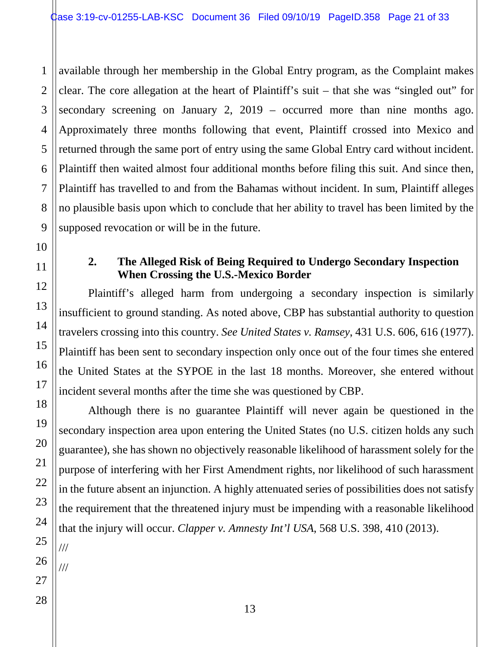1 2 3 4 5 6 available through her membership in the Global Entry program, as the Complaint makes clear. The core allegation at the heart of Plaintiff's suit – that she was "singled out" for secondary screening on January 2, 2019 – occurred more than nine months ago. Approximately three months following that event, Plaintiff crossed into Mexico and returned through the same port of entry using the same Global Entry card without incident. Plaintiff then waited almost four additional months before filing this suit. And since then, Plaintiff has travelled to and from the Bahamas without incident. In sum, Plaintiff alleges no plausible basis upon which to conclude that her ability to travel has been limited by the supposed revocation or will be in the future.

#### **2. The Alleged Risk of Being Required to Undergo Secondary Inspection When Crossing the U.S.-Mexico Border**

Plaintiff's alleged harm from undergoing a secondary inspection is similarly insufficient to ground standing. As noted above, CBP has substantial authority to question travelers crossing into this country. *See United States v. Ramsey*, 431 U.S. 606, 616 (1977). Plaintiff has been sent to secondary inspection only once out of the four times she entered the United States at the SYPOE in the last 18 months. Moreover, she entered without incident several months after the time she was questioned by CBP.

Although there is no guarantee Plaintiff will never again be questioned in the secondary inspection area upon entering the United States (no U.S. citizen holds any such guarantee), she has shown no objectively reasonable likelihood of harassment solely for the purpose of interfering with her First Amendment rights, nor likelihood of such harassment in the future absent an injunction. A highly attenuated series of possibilities does not satisfy the requirement that the threatened injury must be impending with a reasonable likelihood that the injury will occur. *Clapper v. Amnesty Int'l USA*, 568 U.S. 398, 410 (2013).

///

///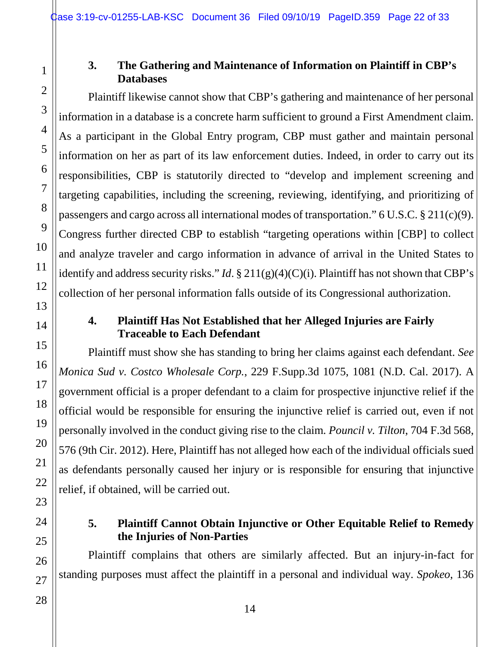#### **3. The Gathering and Maintenance of Information on Plaintiff in CBP's Databases**

Plaintiff likewise cannot show that CBP's gathering and maintenance of her personal information in a database is a concrete harm sufficient to ground a First Amendment claim. As a participant in the Global Entry program, CBP must gather and maintain personal information on her as part of its law enforcement duties. Indeed, in order to carry out its responsibilities, CBP is statutorily directed to "develop and implement screening and targeting capabilities, including the screening, reviewing, identifying, and prioritizing of passengers and cargo across all international modes of transportation." 6 U.S.C. § 211(c)(9). Congress further directed CBP to establish "targeting operations within [CBP] to collect and analyze traveler and cargo information in advance of arrival in the United States to identify and address security risks." *Id*. § 211(g)(4)(C)(i). Plaintiff has not shown that CBP's collection of her personal information falls outside of its Congressional authorization.

#### **4. Plaintiff Has Not Established that her Alleged Injuries are Fairly Traceable to Each Defendant**

Plaintiff must show she has standing to bring her claims against each defendant. *See Monica Sud v. Costco Wholesale Corp.*, 229 F.Supp.3d 1075, 1081 (N.D. Cal. 2017). A government official is a proper defendant to a claim for prospective injunctive relief if the official would be responsible for ensuring the injunctive relief is carried out, even if not personally involved in the conduct giving rise to the claim. *Pouncil v. Tilton*, 704 F.3d 568, 576 (9th Cir. 2012). Here, Plaintiff has not alleged how each of the individual officials sued as defendants personally caused her injury or is responsible for ensuring that injunctive relief, if obtained, will be carried out.

#### **5. Plaintiff Cannot Obtain Injunctive or Other Equitable Relief to Remedy the Injuries of Non-Parties**

Plaintiff complains that others are similarly affected. But an injury-in-fact for standing purposes must affect the plaintiff in a personal and individual way. *Spokeo*, 136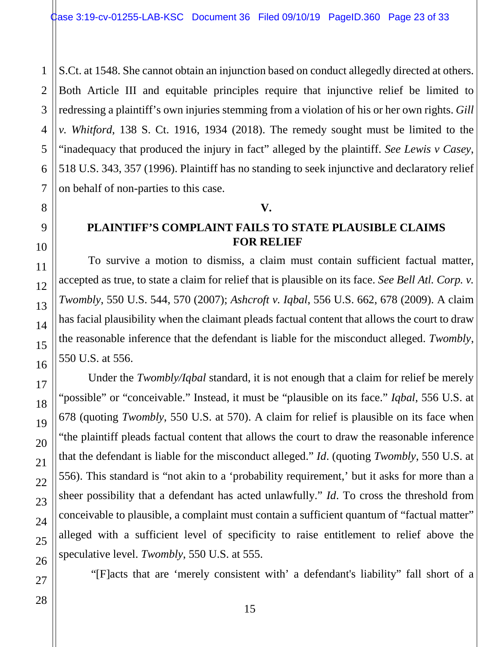S.Ct. at 1548. She cannot obtain an injunction based on conduct allegedly directed at others. Both Article III and equitable principles require that injunctive relief be limited to redressing a plaintiff's own injuries stemming from a violation of his or her own rights. *Gill v. Whitford*, 138 S. Ct. 1916, 1934 (2018). The remedy sought must be limited to the "inadequacy that produced the injury in fact" alleged by the plaintiff. *See Lewis v Casey*, 518 U.S. 343, 357 (1996). Plaintiff has no standing to seek injunctive and declaratory relief on behalf of non-parties to this case.

#### **V.**

#### **PLAINTIFF'S COMPLAINT FAILS TO STATE PLAUSIBLE CLAIMS FOR RELIEF**

To survive a motion to dismiss, a claim must contain sufficient factual matter, accepted as true, to state a claim for relief that is plausible on its face. *See Bell Atl. Corp. v. Twombly*, 550 U.S. 544, 570 (2007); *Ashcroft v. Iqbal*, 556 U.S. 662, 678 (2009). A claim has facial plausibility when the claimant pleads factual content that allows the court to draw the reasonable inference that the defendant is liable for the misconduct alleged. *Twombly*, 550 U.S. at 556.

Under the *Twombly/Iqbal* standard, it is not enough that a claim for relief be merely "possible" or "conceivable." Instead, it must be "plausible on its face." *Iqbal*, 556 U.S. at 678 (quoting *Twombly*, 550 U.S. at 570). A claim for relief is plausible on its face when "the plaintiff pleads factual content that allows the court to draw the reasonable inference that the defendant is liable for the misconduct alleged." *Id*. (quoting *Twombly*, 550 U.S. at 556). This standard is "not akin to a 'probability requirement,' but it asks for more than a sheer possibility that a defendant has acted unlawfully." *Id*. To cross the threshold from conceivable to plausible, a complaint must contain a sufficient quantum of "factual matter" alleged with a sufficient level of specificity to raise entitlement to relief above the speculative level. *Twombly*, 550 U.S. at 555.

"[F]acts that are 'merely consistent with' a defendant's liability" fall short of a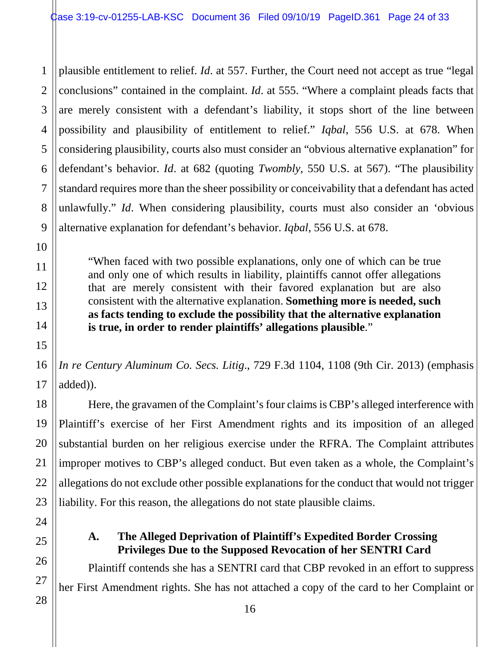1 2 3 4 5 6 7 8 9 plausible entitlement to relief. *Id*. at 557. Further, the Court need not accept as true "legal conclusions" contained in the complaint. *Id*. at 555. "Where a complaint pleads facts that are merely consistent with a defendant's liability, it stops short of the line between possibility and plausibility of entitlement to relief." *Iqbal*, 556 U.S. at 678. When considering plausibility, courts also must consider an "obvious alternative explanation" for defendant's behavior. *Id*. at 682 (quoting *Twombly*, 550 U.S. at 567). "The plausibility standard requires more than the sheer possibility or conceivability that a defendant has acted unlawfully." *Id*. When considering plausibility, courts must also consider an 'obvious alternative explanation for defendant's behavior. *Iqbal*, 556 U.S. at 678.

"When faced with two possible explanations, only one of which can be true and only one of which results in liability, plaintiffs cannot offer allegations that are merely consistent with their favored explanation but are also consistent with the alternative explanation. **Something more is needed, such as facts tending to exclude the possibility that the alternative explanation is true, in order to render plaintiffs' allegations plausible**."

*In re Century Aluminum Co. Secs. Litig*., 729 F.3d 1104, 1108 (9th Cir. 2013) (emphasis added)).

Here, the gravamen of the Complaint's four claims is CBP's alleged interference with Plaintiff's exercise of her First Amendment rights and its imposition of an alleged substantial burden on her religious exercise under the RFRA. The Complaint attributes improper motives to CBP's alleged conduct. But even taken as a whole, the Complaint's allegations do not exclude other possible explanations for the conduct that would not trigger liability. For this reason, the allegations do not state plausible claims.

### **A. The Alleged Deprivation of Plaintiff's Expedited Border Crossing Privileges Due to the Supposed Revocation of her SENTRI Card**

Plaintiff contends she has a SENTRI card that CBP revoked in an effort to suppress her First Amendment rights. She has not attached a copy of the card to her Complaint or

10

11

12

13

14

15

16

17

18

19

20

21

22

23

24

25

26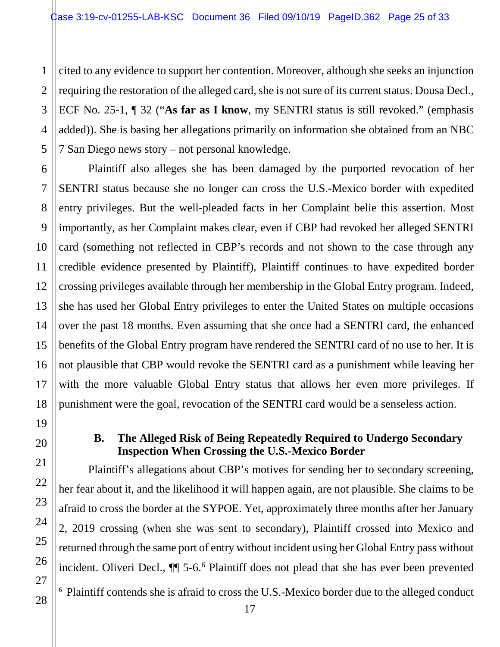1

2

7

8

9

10

11

12

13

14

15

16

17

18

19

20

21

22

23

24

25

26

27

<span id="page-24-0"></span>28

3 4 5 cited to any evidence to support her contention. Moreover, although she seeks an injunction requiring the restoration of the alleged card, she is not sure of its current status. Dousa Decl., ECF No. 25-1, ¶ 32 ("**As far as I know**, my SENTRI status is still revoked." (emphasis added)). She is basing her allegations primarily on information she obtained from an NBC 7 San Diego news story – not personal knowledge.

6 Plaintiff also alleges she has been damaged by the purported revocation of her SENTRI status because she no longer can cross the U.S.-Mexico border with expedited entry privileges. But the well-pleaded facts in her Complaint belie this assertion. Most importantly, as her Complaint makes clear, even if CBP had revoked her alleged SENTRI card (something not reflected in CBP's records and not shown to the case through any credible evidence presented by Plaintiff), Plaintiff continues to have expedited border crossing privileges available through her membership in the Global Entry program. Indeed, she has used her Global Entry privileges to enter the United States on multiple occasions over the past 18 months. Even assuming that she once had a SENTRI card, the enhanced benefits of the Global Entry program have rendered the SENTRI card of no use to her. It is not plausible that CBP would revoke the SENTRI card as a punishment while leaving her with the more valuable Global Entry status that allows her even more privileges. If punishment were the goal, revocation of the SENTRI card would be a senseless action.

#### **B. The Alleged Risk of Being Repeatedly Required to Undergo Secondary Inspection When Crossing the U.S.-Mexico Border**

Plaintiff's allegations about CBP's motives for sending her to secondary screening, her fear about it, and the likelihood it will happen again, are not plausible. She claims to be afraid to cross the border at the SYPOE. Yet, approximately three months after her January 2, 2019 crossing (when she was sent to secondary), Plaintiff crossed into Mexico and returned through the same port of entry without incident using her Global Entry pass without incident. Oliveri Decl.,  $\P\P$  5-[6](#page-24-0).<sup>6</sup> Plaintiff does not plead that she has ever been prevented

6 Plaintiff contends she is afraid to cross the U.S.-Mexico border due to the alleged conduct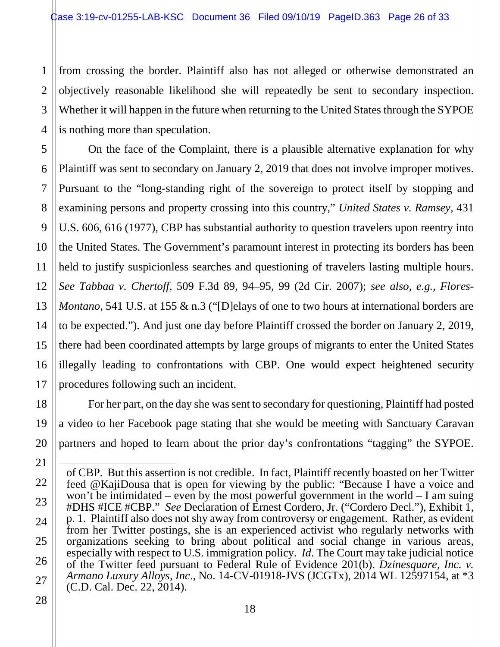1 2 3 4 from crossing the border. Plaintiff also has not alleged or otherwise demonstrated an objectively reasonable likelihood she will repeatedly be sent to secondary inspection. Whether it will happen in the future when returning to the United States through the SYPOE is nothing more than speculation.

5 6 7 8 9 10 11 12 13 14 15 16 17 On the face of the Complaint, there is a plausible alternative explanation for why Plaintiff was sent to secondary on January 2, 2019 that does not involve improper motives. Pursuant to the "long-standing right of the sovereign to protect itself by stopping and examining persons and property crossing into this country," *United States v. Ramsey*, 431 U.S. 606, 616 (1977), CBP has substantial authority to question travelers upon reentry into the United States. The Government's paramount interest in protecting its borders has been held to justify suspicionless searches and questioning of travelers lasting multiple hours. *See Tabbaa v. Chertoff*, 509 F.3d 89, 94–95, 99 (2d Cir. 2007); *see also, e.g., Flores-Montano*, 541 U.S. at 155 & n.3 ("Delays of one to two hours at international borders are to be expected."). And just one day before Plaintiff crossed the border on January 2, 2019, there had been coordinated attempts by large groups of migrants to enter the United States illegally leading to confrontations with CBP. One would expect heightened security procedures following such an incident.

For her part, on the day she was sent to secondary for questioning, Plaintiff had posted a video to her Facebook page stating that she would be meeting with Sanctuary Caravan partners and hoped to learn about the prior day's confrontations "tagging" the SYPOE.

28

18

19

20

21

22

23

24

25

26

Ξ of CBP. But this assertion is not credible. In fact, Plaintiff recently boasted on her Twitter feed @KajiDousa that is open for viewing by the public: "Because I have a voice and won't be intimidated – even by the most powerful government in the world – I am suing #DHS #ICE #CBP." *See* Declaration of Ernest Cordero, Jr. ("Cordero Decl."), Exhibit 1, p. 1. Plaintiff also does not shy away from controversy or engagement. Rather, as evident from her Twitter postings, she is an experienced activist who regularly networks with organizations seeking to bring about political and social change in various areas, especially with respect to U.S. immigration policy. *Id*. The Court may take judicial notice of the Twitter feed pursuant to Federal Rule of Evidence 201(b). *Dzinesquare, Inc. v. Armano Luxury Alloys, Inc*., No. 14-CV-01918-JVS (JCGTx), 2014 WL 12597154, at \*3 (C.D. Cal. Dec. 22, 2014).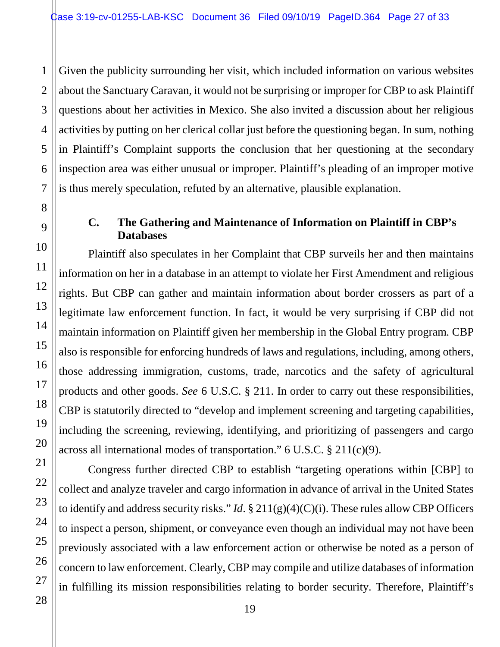1 Given the publicity surrounding her visit, which included information on various websites about the Sanctuary Caravan, it would not be surprising or improper for CBP to ask Plaintiff questions about her activities in Mexico. She also invited a discussion about her religious activities by putting on her clerical collar just before the questioning began. In sum, nothing in Plaintiff's Complaint supports the conclusion that her questioning at the secondary inspection area was either unusual or improper. Plaintiff's pleading of an improper motive is thus merely speculation, refuted by an alternative, plausible explanation.

#### **C. The Gathering and Maintenance of Information on Plaintiff in CBP's Databases**

Plaintiff also speculates in her Complaint that CBP surveils her and then maintains information on her in a database in an attempt to violate her First Amendment and religious rights. But CBP can gather and maintain information about border crossers as part of a legitimate law enforcement function. In fact, it would be very surprising if CBP did not maintain information on Plaintiff given her membership in the Global Entry program. CBP also is responsible for enforcing hundreds of laws and regulations, including, among others, those addressing immigration, customs, trade, narcotics and the safety of agricultural products and other goods. *See* 6 U.S.C. § 211. In order to carry out these responsibilities, CBP is statutorily directed to "develop and implement screening and targeting capabilities, including the screening, reviewing, identifying, and prioritizing of passengers and cargo across all international modes of transportation." 6 U.S.C. § 211(c)(9).

Congress further directed CBP to establish "targeting operations within [CBP] to collect and analyze traveler and cargo information in advance of arrival in the United States to identify and address security risks." *Id*. § 211(g)(4)(C)(i). These rules allow CBP Officers to inspect a person, shipment, or conveyance even though an individual may not have been previously associated with a law enforcement action or otherwise be noted as a person of concern to law enforcement. Clearly, CBP may compile and utilize databases of information in fulfilling its mission responsibilities relating to border security. Therefore, Plaintiff's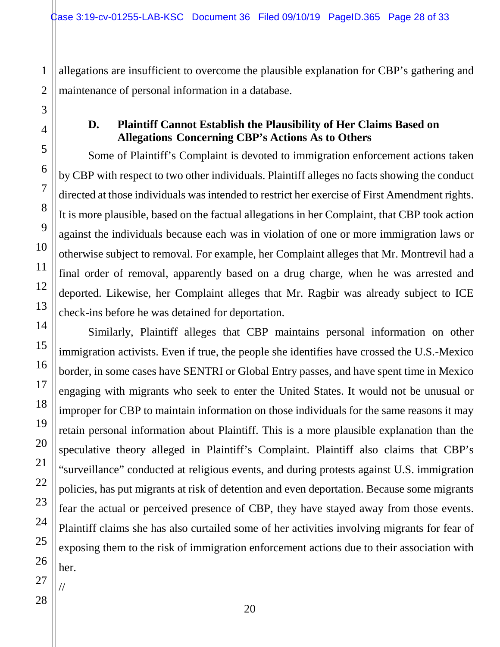allegations are insufficient to overcome the plausible explanation for CBP's gathering and maintenance of personal information in a database.

#### **D. Plaintiff Cannot Establish the Plausibility of Her Claims Based on Allegations Concerning CBP's Actions As to Others**

Some of Plaintiff's Complaint is devoted to immigration enforcement actions taken by CBP with respect to two other individuals. Plaintiff alleges no facts showing the conduct directed at those individuals was intended to restrict her exercise of First Amendment rights. It is more plausible, based on the factual allegations in her Complaint, that CBP took action against the individuals because each was in violation of one or more immigration laws or otherwise subject to removal. For example, her Complaint alleges that Mr. Montrevil had a final order of removal, apparently based on a drug charge, when he was arrested and deported. Likewise, her Complaint alleges that Mr. Ragbir was already subject to ICE check-ins before he was detained for deportation.

Similarly, Plaintiff alleges that CBP maintains personal information on other immigration activists. Even if true, the people she identifies have crossed the U.S.-Mexico border, in some cases have SENTRI or Global Entry passes, and have spent time in Mexico engaging with migrants who seek to enter the United States. It would not be unusual or improper for CBP to maintain information on those individuals for the same reasons it may retain personal information about Plaintiff. This is a more plausible explanation than the speculative theory alleged in Plaintiff's Complaint. Plaintiff also claims that CBP's "surveillance" conducted at religious events, and during protests against U.S. immigration policies, has put migrants at risk of detention and even deportation. Because some migrants fear the actual or perceived presence of CBP, they have stayed away from those events. Plaintiff claims she has also curtailed some of her activities involving migrants for fear of exposing them to the risk of immigration enforcement actions due to their association with her.

//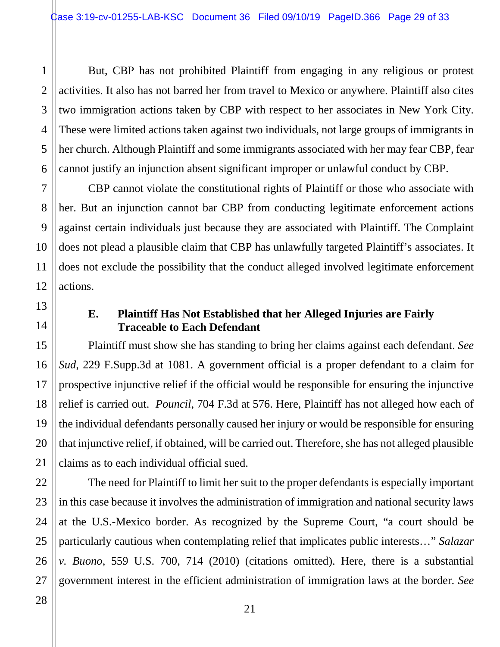But, CBP has not prohibited Plaintiff from engaging in any religious or protest activities. It also has not barred her from travel to Mexico or anywhere. Plaintiff also cites two immigration actions taken by CBP with respect to her associates in New York City. These were limited actions taken against two individuals, not large groups of immigrants in her church. Although Plaintiff and some immigrants associated with her may fear CBP, fear cannot justify an injunction absent significant improper or unlawful conduct by CBP.

CBP cannot violate the constitutional rights of Plaintiff or those who associate with her. But an injunction cannot bar CBP from conducting legitimate enforcement actions against certain individuals just because they are associated with Plaintiff. The Complaint does not plead a plausible claim that CBP has unlawfully targeted Plaintiff's associates. It does not exclude the possibility that the conduct alleged involved legitimate enforcement actions.

#### **E. Plaintiff Has Not Established that her Alleged Injuries are Fairly Traceable to Each Defendant**

Plaintiff must show she has standing to bring her claims against each defendant. *See Sud*, 229 F.Supp.3d at 1081. A government official is a proper defendant to a claim for prospective injunctive relief if the official would be responsible for ensuring the injunctive relief is carried out. *Pouncil*, 704 F.3d at 576. Here, Plaintiff has not alleged how each of the individual defendants personally caused her injury or would be responsible for ensuring that injunctive relief, if obtained, will be carried out. Therefore, she has not alleged plausible claims as to each individual official sued.

The need for Plaintiff to limit her suit to the proper defendants is especially important in this case because it involves the administration of immigration and national security laws at the U.S.-Mexico border. As recognized by the Supreme Court, "a court should be particularly cautious when contemplating relief that implicates public interests…" *Salazar v. Buono*, 559 U.S. 700, 714 (2010) (citations omitted). Here, there is a substantial government interest in the efficient administration of immigration laws at the border. *See*

1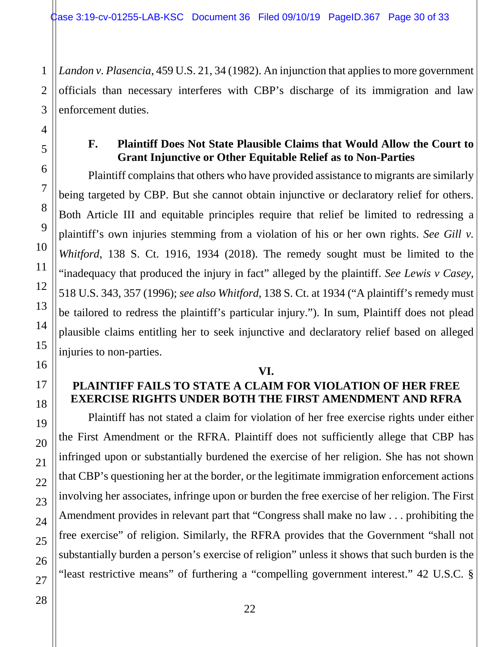3 *Landon v. Plasencia*, 459 U.S. 21, 34 (1982). An injunction that applies to more government officials than necessary interferes with CBP's discharge of its immigration and law enforcement duties.

1

2

4

5

6

7

8

#### **F. Plaintiff Does Not State Plausible Claims that Would Allow the Court to Grant Injunctive or Other Equitable Relief as to Non-Parties**

Plaintiff complains that others who have provided assistance to migrants are similarly being targeted by CBP. But she cannot obtain injunctive or declaratory relief for others. Both Article III and equitable principles require that relief be limited to redressing a plaintiff's own injuries stemming from a violation of his or her own rights. *See Gill v. Whitford*, 138 S. Ct. 1916, 1934 (2018). The remedy sought must be limited to the "inadequacy that produced the injury in fact" alleged by the plaintiff. *See Lewis v Casey*, 518 U.S. 343, 357 (1996); *see also Whitford*, 138 S. Ct. at 1934 ("A plaintiff's remedy must be tailored to redress the plaintiff's particular injury."). In sum, Plaintiff does not plead plausible claims entitling her to seek injunctive and declaratory relief based on alleged injuries to non-parties.

#### **VI.**

### **PLAINTIFF FAILS TO STATE A CLAIM FOR VIOLATION OF HER FREE EXERCISE RIGHTS UNDER BOTH THE FIRST AMENDMENT AND RFRA**

Plaintiff has not stated a claim for violation of her free exercise rights under either the First Amendment or the RFRA. Plaintiff does not sufficiently allege that CBP has infringed upon or substantially burdened the exercise of her religion. She has not shown that CBP's questioning her at the border, or the legitimate immigration enforcement actions involving her associates, infringe upon or burden the free exercise of her religion. The First Amendment provides in relevant part that "Congress shall make no law . . . prohibiting the free exercise" of religion. Similarly, the RFRA provides that the Government "shall not substantially burden a person's exercise of religion" unless it shows that such burden is the "least restrictive means" of furthering a "compelling government interest." 42 U.S.C. §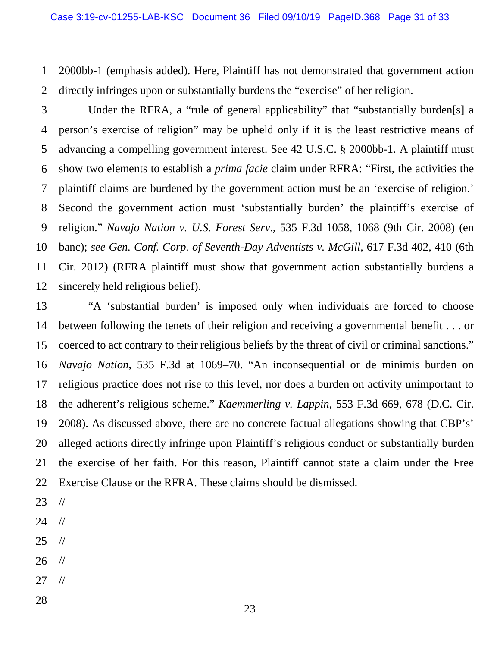1 2 2000bb-1 (emphasis added). Here, Plaintiff has not demonstrated that government action directly infringes upon or substantially burdens the "exercise" of her religion.

Under the RFRA, a "rule of general applicability" that "substantially burden[s] a person's exercise of religion" may be upheld only if it is the least restrictive means of advancing a compelling government interest. See 42 U.S.C. § 2000bb-1. A plaintiff must show two elements to establish a *prima facie* claim under RFRA: "First, the activities the plaintiff claims are burdened by the government action must be an 'exercise of religion.' Second the government action must 'substantially burden' the plaintiff's exercise of religion." *Navajo Nation v. U.S. Forest Serv*., 535 F.3d 1058, 1068 (9th Cir. 2008) (en banc); *see Gen. Conf. Corp. of Seventh-Day Adventists v. McGill*, 617 F.3d 402, 410 (6th Cir. 2012) (RFRA plaintiff must show that government action substantially burdens a sincerely held religious belief).

"A 'substantial burden' is imposed only when individuals are forced to choose between following the tenets of their religion and receiving a governmental benefit . . . or coerced to act contrary to their religious beliefs by the threat of civil or criminal sanctions." *Navajo Nation*, 535 F.3d at 1069–70. "An inconsequential or de minimis burden on religious practice does not rise to this level, nor does a burden on activity unimportant to the adherent's religious scheme." *Kaemmerling v. Lappin*, 553 F.3d 669, 678 (D.C. Cir. 2008). As discussed above, there are no concrete factual allegations showing that CBP's' alleged actions directly infringe upon Plaintiff's religious conduct or substantially burden the exercise of her faith. For this reason, Plaintiff cannot state a claim under the Free Exercise Clause or the RFRA. These claims should be dismissed.

//

//

//

//

//

3

4

5

6

7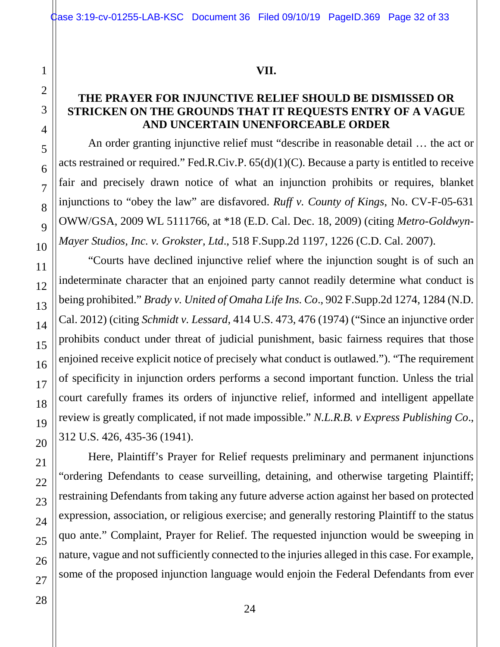#### **VII.**

#### **THE PRAYER FOR INJUNCTIVE RELIEF SHOULD BE DISMISSED OR STRICKEN ON THE GROUNDS THAT IT REQUESTS ENTRY OF A VAGUE AND UNCERTAIN UNENFORCEABLE ORDER**

An order granting injunctive relief must "describe in reasonable detail … the act or acts restrained or required." Fed.R.Civ.P. 65(d)(1)(C). Because a party is entitled to receive fair and precisely drawn notice of what an injunction prohibits or requires, blanket injunctions to "obey the law" are disfavored. *Ruff v. County of Kings*, No. CV-F-05-631 OWW/GSA, 2009 WL 5111766, at \*18 (E.D. Cal. Dec. 18, 2009) (citing *Metro-Goldwyn-Mayer Studios, Inc. v. Grokster, Ltd*., 518 F.Supp.2d 1197, 1226 (C.D. Cal. 2007).

"Courts have declined injunctive relief where the injunction sought is of such an indeterminate character that an enjoined party cannot readily determine what conduct is being prohibited." *Brady v. United of Omaha Life Ins. Co*., 902 F.Supp.2d 1274, 1284 (N.D. Cal. 2012) (citing *Schmidt v. Lessard*, 414 U.S. 473, 476 (1974) ("Since an injunctive order prohibits conduct under threat of judicial punishment, basic fairness requires that those enjoined receive explicit notice of precisely what conduct is outlawed."). "The requirement of specificity in injunction orders performs a second important function. Unless the trial court carefully frames its orders of injunctive relief, informed and intelligent appellate review is greatly complicated, if not made impossible." *N.L.R.B. v Express Publishing Co*., 312 U.S. 426, 435-36 (1941).

Here, Plaintiff's Prayer for Relief requests preliminary and permanent injunctions "ordering Defendants to cease surveilling, detaining, and otherwise targeting Plaintiff; restraining Defendants from taking any future adverse action against her based on protected expression, association, or religious exercise; and generally restoring Plaintiff to the status quo ante." Complaint, Prayer for Relief. The requested injunction would be sweeping in nature, vague and not sufficiently connected to the injuries alleged in this case. For example, some of the proposed injunction language would enjoin the Federal Defendants from ever